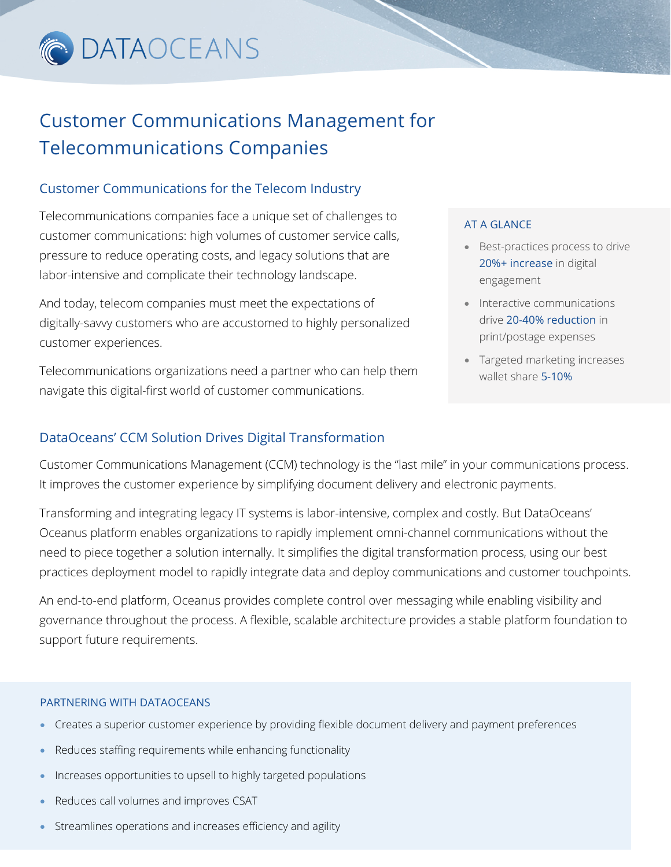

## Customer Communications Management for Telecommunications Companies

### Customer Communications for the Telecom Industry

Telecommunications companies face a unique set of challenges to customer communications: high volumes of customer service calls, pressure to reduce operating costs, and legacy solutions that are labor-intensive and complicate their technology landscape.

And today, telecom companies must meet the expectations of digitally-savvy customers who are accustomed to highly personalized customer experiences.

Telecommunications organizations need a partner who can help them navigate this digital-first world of customer communications.

#### AT A GLANCE

- Best-practices process to drive 20%+ increase in digital engagement
- Interactive communications drive 20-40% reduction in print/postage expenses
- Targeted marketing increases wallet share 5-10%

### DataOceans' CCM Solution Drives Digital Transformation

Customer Communications Management (CCM) technology is the "last mile" in your communications process. It improves the customer experience by simplifying document delivery and electronic payments.

Transforming and integrating legacy IT systems is labor-intensive, complex and costly. But DataOceans' Oceanus platform enables organizations to rapidly implement omni-channel communications without the need to piece together a solution internally. It simplifies the digital transformation process, using our best practices deployment model to rapidly integrate data and deploy communications and customer touchpoints.

An end-to-end platform, Oceanus provides complete control over messaging while enabling visibility and governance throughout the process. A flexible, scalable architecture provides a stable platform foundation to support future requirements.

#### PARTNERING WITH DATAOCEANS

- Creates a superior customer experience by providing flexible document delivery and payment preferences
- Reduces staffing requirements while enhancing functionality
- Increases opportunities to upsell to highly targeted populations
- Reduces call volumes and improves CSAT
- Streamlines operations and increases efficiency and agility